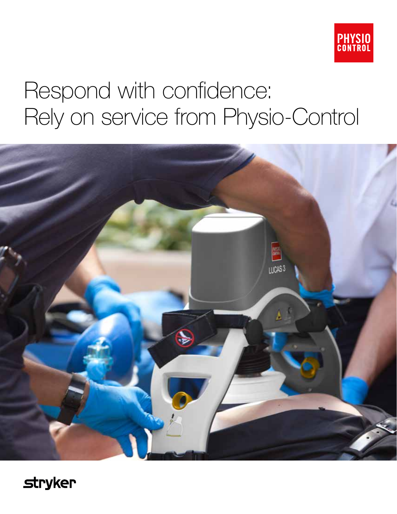

# Respond with confidence: Rely on service from Physio-Control



**stryker**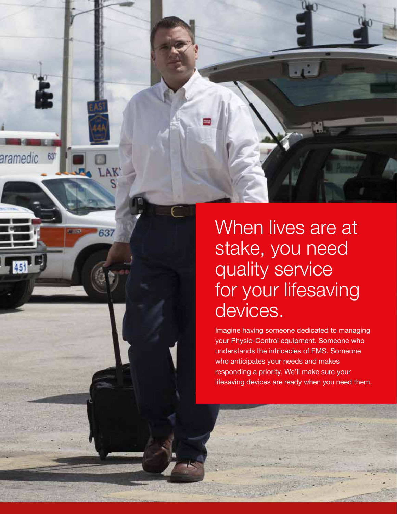

637

When lives are at stake, you need quality service for your lifesaving devices.

Imagine having someone dedicated to managing your Physio-Control equipment. Someone who understands the intricacies of EMS. Someone who anticipates your needs and makes responding a priority. We'll make sure your lifesaving devices are ready when you need them.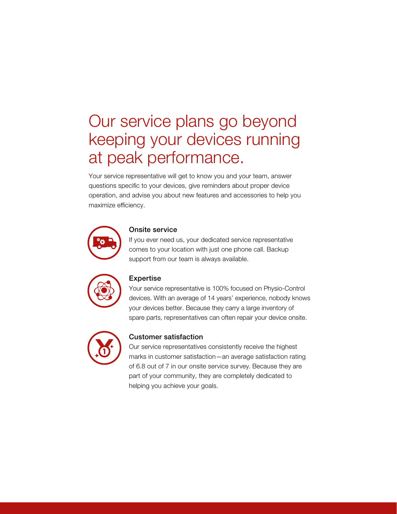# Our service plans go beyond keeping your devices running at peak performance.

Your service representative will get to know you and your team, answer questions specific to your devices, give reminders about proper device operation, and advise you about new features and accessories to help you maximize efficiency.



#### Onsite service

If you ever need us, your dedicated service representative comes to your location with just one phone call. Backup support from our team is always available.



#### Expertise

Your service representative is 100% focused on Physio-Control devices. With an average of 14 years' experience, nobody knows your devices better. Because they carry a large inventory of spare parts, representatives can often repair your device onsite.



### Customer satisfaction

Our service representatives consistently receive the highest marks in customer satisfaction—an average satisfaction rating of 6.8 out of 7 in our onsite service survey. Because they are part of your community, they are completely dedicated to helping you achieve your goals.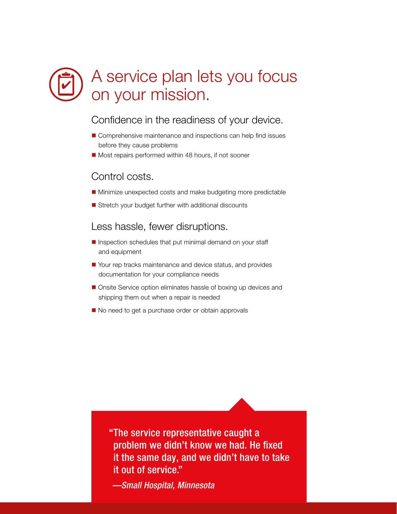# A service plan lets you focus on your mission.

### Confidence in the readiness of your device.

- **n** Comprehensive maintenance and inspections can help find issues before they cause problems
- Most repairs performed within 48 hours, if not sooner

### Control costs.

- Minimize unexpected costs and make budgeting more predictable
- $\blacksquare$  Stretch your budget further with additional discounts

Less hassle, fewer disruptions.

- $\blacksquare$  Inspection schedules that put minimal demand on your staff and equipment
- Your rep tracks maintenance and device status, and provides documentation for your compliance needs
- Onsite Service option eliminates hassle of boxing up devices and shipping them out when a repair is needed
- No need to get a purchase order or obtain approvals

"The service representative caught a problem we didn't know we had. He fixed it the same day, and we didn't have to take it out of service."

*—Small Hospital, Minnesota*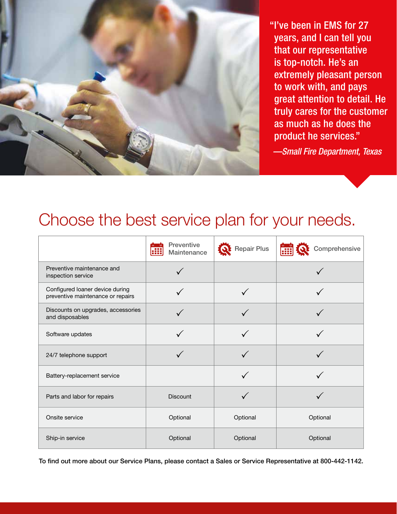

"I've been in EMS for 27 years, and I can tell you that our representative is top-notch. He's an extremely pleasant person to work with, and pays great attention to detail. He truly cares for the customer as much as he does the product he services."

*—Small Fire Department, Texas*

### Choose the best service plan for your needs.

|                                                                      | <b>Preventive</b><br>Maintenance<br>88 | <b>Repair Plus</b> | Comprehensive<br>m |
|----------------------------------------------------------------------|----------------------------------------|--------------------|--------------------|
| Preventive maintenance and<br>inspection service                     |                                        |                    |                    |
| Configured loaner device during<br>preventive maintenance or repairs |                                        |                    |                    |
| Discounts on upgrades, accessories<br>and disposables                |                                        |                    |                    |
| Software updates                                                     |                                        |                    |                    |
| 24/7 telephone support                                               |                                        |                    |                    |
| Battery-replacement service                                          |                                        |                    |                    |
| Parts and labor for repairs                                          | <b>Discount</b>                        |                    |                    |
| Onsite service                                                       | Optional                               | Optional           | Optional           |
| Ship-in service                                                      | Optional                               | Optional           | Optional           |

To find out more about our Service Plans, please contact a Sales or Service Representative at 800-442-1142.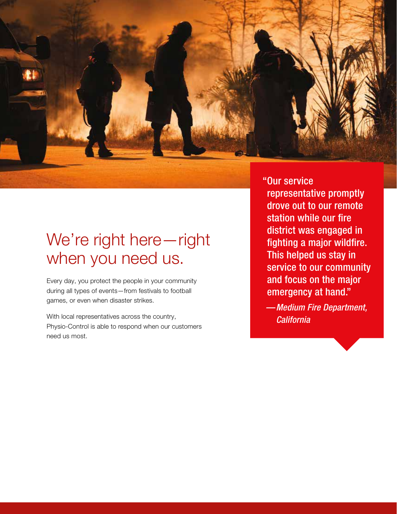

## We're right here—right when you need us.

Every day, you protect the people in your community during all types of events—from festivals to football games, or even when disaster strikes.

With local representatives across the country, Physio-Control is able to respond when our customers need us most.

"Our service representative promptly drove out to our remote station while our fire district was engaged in fighting a major wildfire. This helped us stay in service to our community and focus on the major emergency at hand."

*—Medium Fire Department, California*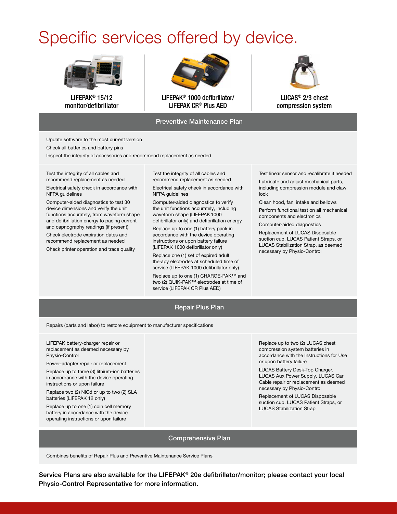# Specific services offered by device.



LIFEPAK® 15/12 monitor/defibrillator



LIFEPAK® 1000 defibrillator/ LIFEPAK CR® Plus AED

#### Preventive Maintenance Plan



LUCAS® 2/3 chest compression system

Update software to the most current version

Check all batteries and battery pins

Inspect the integrity of accessories and recommend replacement as needed

Test the integrity of all cables and recommend replacement as needed

Electrical safety check in accordance with NFPA guidelines

Computer-aided diagnostics to test 30 device dimensions and verify the unit functions accurately, from waveform shape and defibrillation energy to pacing current and capnography readings (if present)

Check electrode expiration dates and recommend replacement as needed

Check printer operation and trace quality

Test the integrity of all cables and recommend replacement as needed

Electrical safety check in accordance with NFPA guidelines

Computer-aided diagnostics to verify the unit functions accurately, including waveform shape (LIFEPAK1000 defibrillator only) and defibrillation energy

Replace up to one (1) battery pack in accordance with the device operating instructions or upon battery failure (LIFEPAK 1000 defibrillator only)

Replace one (1) set of expired adult therapy electrodes at scheduled time of service (LIFEPAK 1000 defibrillator only)

Replace up to one (1) CHARGE-PAK™ and two (2) QUIK-PAK™ electrodes at time of service (LIFEPAK CR Plus AED)

Test linear sensor and recalibrate if needed

Lubricate and adjust mechanical parts, including compression module and claw lock

Clean hood, fan, intake and bellows

Perform functional test on all mechanical components and electronics

Computer-aided diagnostics

Replacement of LUCAS Disposable suction cup, LUCAS Patient Straps, or LUCAS Stabilization Strap, as deemed necessary by Physio-Control

#### Repair Plus Plan

Repairs (parts and labor) to restore equipment to manufacturer specifications

LIFEPAK battery-charger repair or replacement as deemed necessary by Physio-Control

Power-adapter repair or replacement

Replace up to three (3) lithium-ion batteries in accordance with the device operating instructions or upon failure

Replace two (2) NiCd or up to two (2) SLA batteries (LIFEPAK 12 only)

Replace up to one (1) coin cell memory battery in accordance with the device operating instructions or upon failure

Replace up to two (2) LUCAS chest compression system batteries in accordance with the Instructions for Use or upon battery failure

LUCAS Battery Desk-Top Charger, LUCAS Aux Power Supply, LUCAS Car Cable repair or replacement as deemed necessary by Physio-Control

Replacement of LUCAS Disposable suction cup, LUCAS Patient Straps, or LUCAS Stabilization Strap

#### Comprehensive Plan

Combines benefits of Repair Plus and Preventive Maintenance Service Plans

Service Plans are also available for the LIFEPAK® 20e defibrillator/monitor; please contact your local Physio-Control Representative for more information.